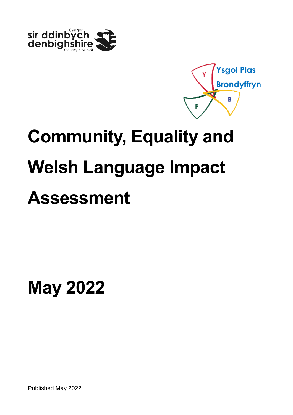



# **Assessment**

**May 2022**

Published May 2022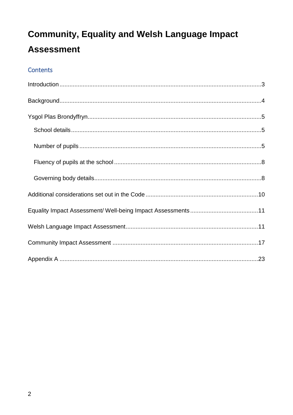### Contents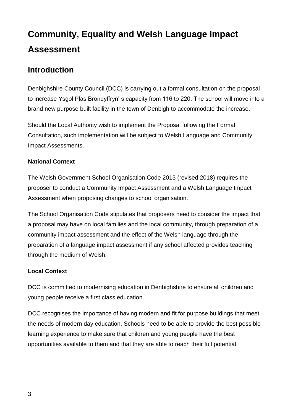### <span id="page-2-0"></span>**Introduction**

Denbighshire County Council (DCC) is carrying out a formal consultation on the proposal to increase Ysgol Plas Brondyffryn' s capacity from 116 to 220. The school will move into a brand new purpose built facility in the town of Denbigh to accommodate the increase.

Should the Local Authority wish to implement the Proposal following the Formal Consultation, such implementation will be subject to Welsh Language and Community Impact Assessments.

#### **National Context**

The Welsh Government School Organisation Code 2013 (revised 2018) requires the proposer to conduct a Community Impact Assessment and a Welsh Language Impact Assessment when proposing changes to school organisation.

The School Organisation Code stipulates that proposers need to consider the impact that a proposal may have on local families and the local community, through preparation of a community impact assessment and the effect of the Welsh language through the preparation of a language impact assessment if any school affected provides teaching through the medium of Welsh.

#### **Local Context**

DCC is committed to modernising education in Denbighshire to ensure all children and young people receive a first class education.

DCC recognises the importance of having modern and fit for purpose buildings that meet the needs of modern day education. Schools need to be able to provide the best possible learning experience to make sure that children and young people have the best opportunities available to them and that they are able to reach their full potential.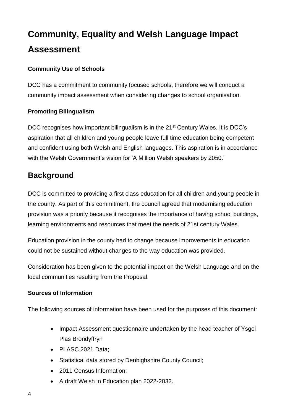#### **Community Use of Schools**

DCC has a commitment to community focused schools, therefore we will conduct a community impact assessment when considering changes to school organisation.

#### **Promoting Bilingualism**

DCC recognises how important bilingualism is in the 21<sup>st</sup> Century Wales. It is DCC's aspiration that all children and young people leave full time education being competent and confident using both Welsh and English languages. This aspiration is in accordance with the Welsh Government's vision for 'A Million Welsh speakers by 2050.'

### <span id="page-3-0"></span>**Background**

DCC is committed to providing a first class education for all children and young people in the county. As part of this commitment, the council agreed that modernising education provision was a priority because it recognises the importance of having school buildings, learning environments and resources that meet the needs of 21st century Wales.

Education provision in the county had to change because improvements in education could not be sustained without changes to the way education was provided.

Consideration has been given to the potential impact on the Welsh Language and on the local communities resulting from the Proposal.

#### **Sources of Information**

The following sources of information have been used for the purposes of this document:

- Impact Assessment questionnaire undertaken by the head teacher of Ysgol Plas Brondyffryn
- PLASC 2021 Data;
- Statistical data stored by Denbighshire County Council;
- 2011 Census Information;
- A draft Welsh in Education plan 2022-2032.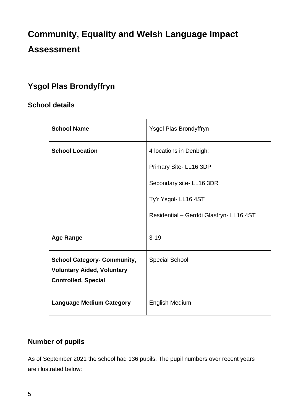### <span id="page-4-0"></span>**Ysgol Plas Brondyffryn**

#### <span id="page-4-1"></span>**School details**

| <b>School Name</b>                 | Ysgol Plas Brondyffryn                  |
|------------------------------------|-----------------------------------------|
| <b>School Location</b>             | 4 locations in Denbigh:                 |
|                                    | Primary Site-LL16 3DP                   |
|                                    | Secondary site-LL16 3DR                 |
|                                    | Ty'r Ysgol- LL16 4ST                    |
|                                    | Residential - Gerddi Glasfryn- LL16 4ST |
| <b>Age Range</b>                   | $3 - 19$                                |
| <b>School Category- Community,</b> | <b>Special School</b>                   |
| <b>Voluntary Aided, Voluntary</b>  |                                         |
| <b>Controlled, Special</b>         |                                         |
| <b>Language Medium Category</b>    | <b>English Medium</b>                   |

### <span id="page-4-2"></span>**Number of pupils**

As of September 2021 the school had 136 pupils. The pupil numbers over recent years are illustrated below: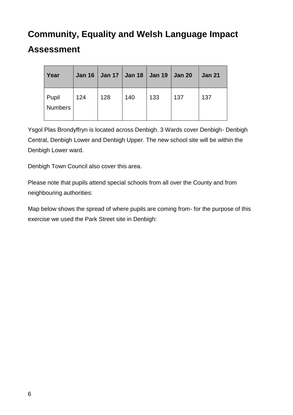| Year                    | <b>Jan 16</b> |     | Jan 17   Jan 18   Jan 19   Jan 20 |     |     | <b>Jan 21</b> |
|-------------------------|---------------|-----|-----------------------------------|-----|-----|---------------|
| Pupil<br><b>Numbers</b> | 124           | 128 | 140                               | 133 | 137 | 137           |

Ysgol Plas Brondyffryn is located across Denbigh. 3 Wards cover Denbigh- Denbigh Central, Denbigh Lower and Denbigh Upper. The new school site will be within the Denbigh Lower ward.

Denbigh Town Council also cover this area.

Please note that pupils attend special schools from all over the County and from neighbouring authorities:

Map below shows the spread of where pupils are coming from- for the purpose of this exercise we used the Park Street site in Denbigh: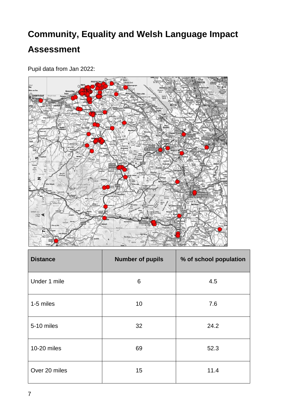

Pupil data from Jan 2022:

| <b>Distance</b> | <b>Number of pupils</b> | % of school population |
|-----------------|-------------------------|------------------------|
| Under 1 mile    | 6                       | 4.5                    |
| 1-5 miles       | 10 <sup>1</sup>         | 7.6                    |
| 5-10 miles      | 32                      | 24.2                   |
| 10-20 miles     | 69                      | 52.3                   |
| Over 20 miles   | 15                      | 11.4                   |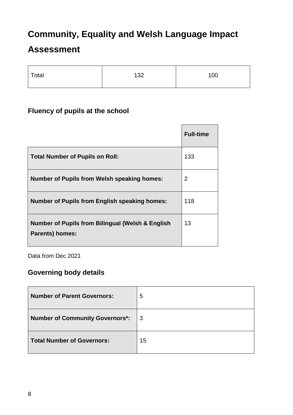### **Assessment**

| Total | 132 | 100 |
|-------|-----|-----|
|       |     |     |

### <span id="page-7-0"></span>**Fluency of pupils at the school**

|                                                                                       | <b>Full-time</b> |
|---------------------------------------------------------------------------------------|------------------|
| <b>Total Number of Pupils on Roll:</b>                                                | 133              |
| <b>Number of Pupils from Welsh speaking homes:</b>                                    | $\overline{2}$   |
| <b>Number of Pupils from English speaking homes:</b>                                  | 118              |
| <b>Number of Pupils from Bilingual (Welsh &amp; English</b><br><b>Parents) homes:</b> | 13               |

Data from Dec 2021

### <span id="page-7-1"></span>**Governing body details**

| <b>Number of Parent Governors:</b>     | 5  |
|----------------------------------------|----|
| <b>Number of Community Governors*:</b> | 3  |
| <b>Total Number of Governors:</b>      | 15 |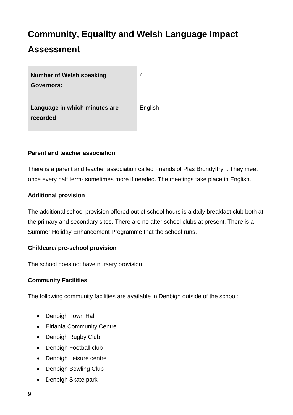### **Assessment**

| <b>Number of Welsh speaking</b><br><b>Governors:</b> | 4       |
|------------------------------------------------------|---------|
| Language in which minutes are<br>recorded            | English |

#### **Parent and teacher association**

There is a parent and teacher association called Friends of Plas Brondyffryn. They meet once every half term- sometimes more if needed. The meetings take place in English.

#### **Additional provision**

The additional school provision offered out of school hours is a daily breakfast club both at the primary and secondary sites. There are no after school clubs at present. There is a Summer Holiday Enhancement Programme that the school runs.

#### **Childcare/ pre-school provision**

The school does not have nursery provision.

#### **Community Facilities**

The following community facilities are available in Denbigh outside of the school:

- Denbigh Town Hall
- Eirianfa Community Centre
- Denbigh Rugby Club
- Denbigh Football club
- Denbigh Leisure centre
- Denbigh Bowling Club
- Denbigh Skate park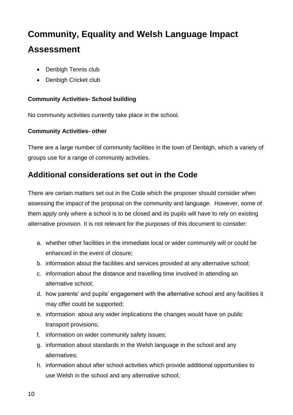- Denbigh Tennis club
- Denbigh Cricket club

#### **Community Activities- School building**

No community activities currently take place in the school.

#### **Community Activities- other**

There are a large number of community facilities in the town of Denbigh, which a variety of groups use for a range of community activities.

### <span id="page-9-0"></span>**Additional considerations set out in the Code**

There are certain matters set out in the Code which the proposer should consider when assessing the impact of the proposal on the community and language. However, some of them apply only where a school is to be closed and its pupils will have to rely on existing alternative provision. It is not relevant for the purposes of this document to consider:

- a. whether other facilities in the immediate local or wider community will or could be enhanced in the event of closure;
- b. information about the facilities and services provided at any alternative school;
- c. information about the distance and travelling time involved in attending an alternative school;
- d. how parents' and pupils' engagement with the alternative school and any facilities it may offer could be supported;
- e. information about any wider implications the changes would have on public transport provisions;
- f. information on wider community safety issues;
- g. information about standards in the Welsh language in the school and any alternatives;
- h. information about after school activities which provide additional opportunities to use Welsh in the school and any alternative school;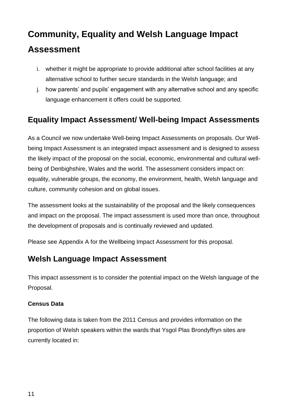- i. whether it might be appropriate to provide additional after school facilities at any alternative school to further secure standards in the Welsh language; and
- j. how parents' and pupils' engagement with any alternative school and any specific language enhancement it offers could be supported.

### <span id="page-10-0"></span>**Equality Impact Assessment/ Well-being Impact Assessments**

As a Council we now undertake Well-being Impact Assessments on proposals. Our Wellbeing Impact Assessment is an integrated impact assessment and is designed to assess the likely impact of the proposal on the social, economic, environmental and cultural wellbeing of Denbighshire, Wales and the world. The assessment considers impact on: equality, vulnerable groups, the economy, the environment, health, Welsh language and culture, community cohesion and on global issues.

The assessment looks at the sustainability of the proposal and the likely consequences and impact on the proposal. The impact assessment is used more than once, throughout the development of proposals and is continually reviewed and updated.

Please see Appendix A for the Wellbeing Impact Assessment for this proposal.

### <span id="page-10-1"></span>**Welsh Language Impact Assessment**

This impact assessment is to consider the potential impact on the Welsh language of the Proposal.

#### **Census Data**

The following data is taken from the 2011 Census and provides information on the proportion of Welsh speakers within the wards that Ysgol Plas Brondyffryn sites are currently located in: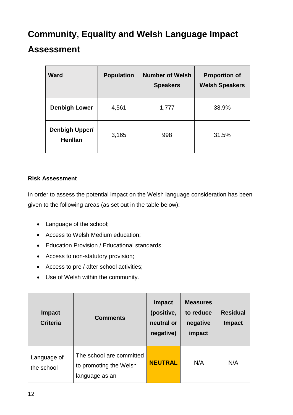### **Assessment**

| <b>Ward</b>                             | <b>Population</b> | <b>Number of Welsh</b><br><b>Speakers</b> | <b>Proportion of</b><br><b>Welsh Speakers</b> |
|-----------------------------------------|-------------------|-------------------------------------------|-----------------------------------------------|
| <b>Denbigh Lower</b>                    | 4,561             | 1,777                                     | 38.9%                                         |
| <b>Denbigh Upper/</b><br><b>Henllan</b> | 3,165             | 998                                       | 31.5%                                         |

#### **Risk Assessment**

In order to assess the potential impact on the Welsh language consideration has been given to the following areas (as set out in the table below):

- Language of the school;
- Access to Welsh Medium education;
- Education Provision / Educational standards;
- Access to non-statutory provision;
- Access to pre / after school activities;
- Use of Welsh within the community.

| <b>Impact</b><br><b>Criteria</b> | <b>Comments</b>                                                      | <b>Impact</b><br>(positive,<br>neutral or<br>negative) | <b>Measures</b><br>to reduce<br>negative<br>impact | <b>Residual</b><br><b>Impact</b> |
|----------------------------------|----------------------------------------------------------------------|--------------------------------------------------------|----------------------------------------------------|----------------------------------|
| Language of<br>the school        | The school are committed<br>to promoting the Welsh<br>language as an | <b>NEUTRAL</b>                                         | N/A                                                | N/A                              |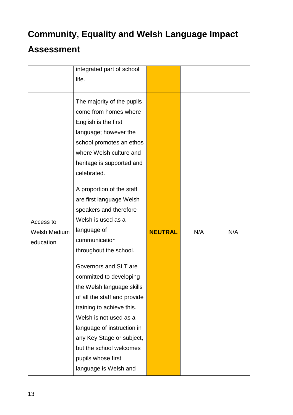|                     | integrated part of school    |                |     |     |
|---------------------|------------------------------|----------------|-----|-----|
|                     | life.                        |                |     |     |
|                     |                              |                |     |     |
|                     | The majority of the pupils   |                |     |     |
|                     | come from homes where        |                |     |     |
|                     | English is the first         |                |     |     |
|                     | language; however the        |                |     |     |
|                     | school promotes an ethos     |                |     |     |
|                     | where Welsh culture and      |                |     |     |
|                     | heritage is supported and    |                |     |     |
|                     | celebrated.                  |                |     |     |
|                     | A proportion of the staff    |                |     |     |
|                     | are first language Welsh     |                |     |     |
|                     | speakers and therefore       |                |     |     |
| Access to           | Welsh is used as a           |                |     |     |
| <b>Welsh Medium</b> | language of                  | <b>NEUTRAL</b> | N/A | N/A |
| education           | communication                |                |     |     |
|                     | throughout the school.       |                |     |     |
|                     | Governors and SLT are        |                |     |     |
|                     | committed to developing      |                |     |     |
|                     | the Welsh language skills    |                |     |     |
|                     | of all the staff and provide |                |     |     |
|                     | training to achieve this.    |                |     |     |
|                     | Welsh is not used as a       |                |     |     |
|                     | language of instruction in   |                |     |     |
|                     | any Key Stage or subject,    |                |     |     |
|                     | but the school welcomes      |                |     |     |
|                     | pupils whose first           |                |     |     |
|                     | language is Welsh and        |                |     |     |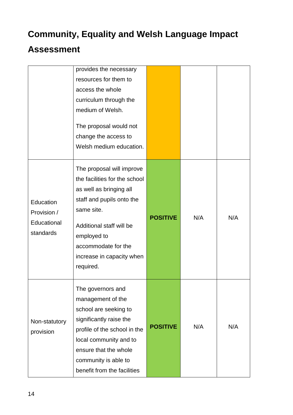|                                                      | provides the necessary<br>resources for them to<br>access the whole<br>curriculum through the<br>medium of Welsh.<br>The proposal would not<br>change the access to<br>Welsh medium education.                                               |                 |     |     |
|------------------------------------------------------|----------------------------------------------------------------------------------------------------------------------------------------------------------------------------------------------------------------------------------------------|-----------------|-----|-----|
| Education<br>Provision /<br>Educational<br>standards | The proposal will improve<br>the facilities for the school<br>as well as bringing all<br>staff and pupils onto the<br>same site.<br>Additional staff will be<br>employed to<br>accommodate for the<br>increase in capacity when<br>required. | <b>POSITIVE</b> | N/A | N/A |
| Non-statutory<br>provision                           | The governors and<br>management of the<br>school are seeking to<br>significantly raise the<br>profile of the school in the<br>local community and to<br>ensure that the whole<br>community is able to<br>benefit from the facilities         | <b>POSITIVE</b> | N/A | N/A |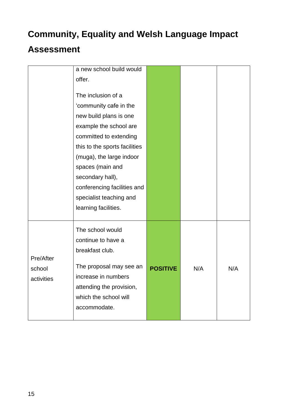|            | a new school build would      |                 |     |     |
|------------|-------------------------------|-----------------|-----|-----|
|            | offer.                        |                 |     |     |
|            |                               |                 |     |     |
|            | The inclusion of a            |                 |     |     |
|            | 'community cafe in the        |                 |     |     |
|            | new build plans is one        |                 |     |     |
|            | example the school are        |                 |     |     |
|            | committed to extending        |                 |     |     |
|            | this to the sports facilities |                 |     |     |
|            | (muga), the large indoor      |                 |     |     |
|            | spaces (main and              |                 |     |     |
|            | secondary hall),              |                 |     |     |
|            | conferencing facilities and   |                 |     |     |
|            | specialist teaching and       |                 |     |     |
|            | learning facilities.          |                 |     |     |
|            |                               |                 |     |     |
|            | The school would              |                 |     |     |
|            | continue to have a            |                 |     |     |
|            | breakfast club.               |                 |     |     |
| Pre/After  |                               |                 |     |     |
| school     | The proposal may see an       | <b>POSITIVE</b> | N/A | N/A |
| activities | increase in numbers           |                 |     |     |
|            | attending the provision,      |                 |     |     |
|            | which the school will         |                 |     |     |
|            | accommodate.                  |                 |     |     |
|            |                               |                 |     |     |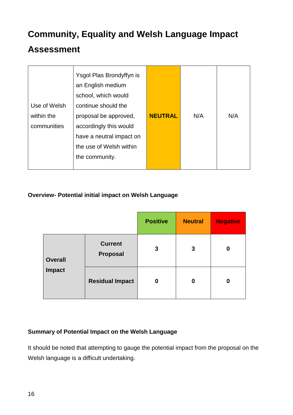### **Assessment**

| an English medium<br>school, which would<br>Use of Welsh<br>continue should the<br>within the<br>proposal be approved,<br>communities<br>accordingly this would<br>have a neutral impact on<br>the use of Welsh within<br>the community. | <b>NEUTRAL</b><br>N/A | N/A |
|------------------------------------------------------------------------------------------------------------------------------------------------------------------------------------------------------------------------------------------|-----------------------|-----|
|------------------------------------------------------------------------------------------------------------------------------------------------------------------------------------------------------------------------------------------|-----------------------|-----|

#### **Overview- Potential initial impact on Welsh Language**

|                          |                            | <b>Positive</b> | <b>Neutral</b> | <b>Negative</b> |
|--------------------------|----------------------------|-----------------|----------------|-----------------|
| <b>Overall</b><br>Impact | <b>Current</b><br>Proposal | 3               | 3              | 0               |
|                          | <b>Residual Impact</b>     | 0               | 0              | 0               |

#### **Summary of Potential Impact on the Welsh Language**

It should be noted that attempting to gauge the potential impact from the proposal on the Welsh language is a difficult undertaking.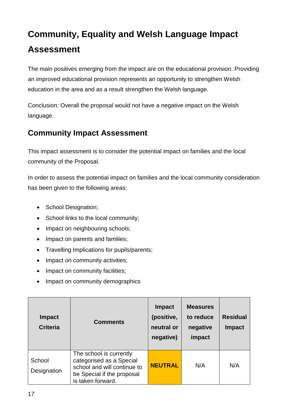The main positives emerging from the impact are on the educational provision. Providing an improved educational provision represents an opportunity to strengthen Welsh education in the area and as a result strengthen the Welsh language.

Conclusion: Overall the proposal would not have a negative impact on the Welsh language.

### <span id="page-16-0"></span>**Community Impact Assessment**

This impact assessment is to consider the potential impact on families and the local community of the Proposal.

In order to assess the potential impact on families and the local community consideration has been given to the following areas:

- School Designation;
- School links to the local community;
- Impact on neighbouring schools;
- Impact on parents and families;
- Travelling Implications for pupils/parents;
- Impact on community activities;
- Impact on community facilities;
- Impact on community demographics

| <b>Impact</b><br><b>Criteria</b> | <b>Comments</b>                                                                                                                       | <b>Impact</b><br>(positive,<br>neutral or<br>negative) | <b>Measures</b><br>to reduce<br>negative<br>impact | <b>Residual</b><br><b>Impact</b> |
|----------------------------------|---------------------------------------------------------------------------------------------------------------------------------------|--------------------------------------------------------|----------------------------------------------------|----------------------------------|
| School<br>Designation            | The school is currently<br>categorised as a Special<br>school and will continue to<br>be Special if the proposal<br>is taken forward. | <b>NEUTRAL</b>                                         | N/A                                                | N/A                              |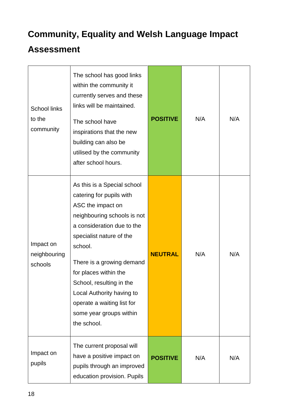| <b>School links</b><br>to the<br>community | The school has good links<br>within the community it<br>currently serves and these<br>links will be maintained.<br>The school have<br>inspirations that the new<br>building can also be<br>utilised by the community<br>after school hours.                                                                                                                             | <b>POSITIVE</b> | N/A | N/A |
|--------------------------------------------|-------------------------------------------------------------------------------------------------------------------------------------------------------------------------------------------------------------------------------------------------------------------------------------------------------------------------------------------------------------------------|-----------------|-----|-----|
| Impact on<br>neighbouring<br>schools       | As this is a Special school<br>catering for pupils with<br>ASC the impact on<br>neighbouring schools is not<br>a consideration due to the<br>specialist nature of the<br>school.<br>There is a growing demand<br>for places within the<br>School, resulting in the<br>Local Authority having to<br>operate a waiting list for<br>some year groups within<br>the school. | <b>NEUTRAL</b>  | N/A | N/A |
| Impact on<br>pupils                        | The current proposal will<br>have a positive impact on<br>pupils through an improved<br>education provision. Pupils                                                                                                                                                                                                                                                     | <b>POSITIVE</b> | N/A | N/A |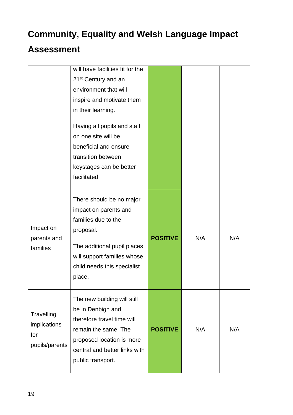|                                                     | will have facilities fit for the<br>21 <sup>st</sup> Century and an<br>environment that will<br>inspire and motivate them<br>in their learning.<br>Having all pupils and staff<br>on one site will be<br>beneficial and ensure<br>transition between<br>keystages can be better<br>facilitated. |                 |     |     |
|-----------------------------------------------------|-------------------------------------------------------------------------------------------------------------------------------------------------------------------------------------------------------------------------------------------------------------------------------------------------|-----------------|-----|-----|
| Impact on<br>parents and<br>families                | There should be no major<br>impact on parents and<br>families due to the<br>proposal.<br>The additional pupil places<br>will support families whose<br>child needs this specialist<br>place.                                                                                                    | <b>POSITIVE</b> | N/A | N/A |
| Travelling<br>implications<br>for<br>pupils/parents | The new building will still<br>be in Denbigh and<br>therefore travel time will<br>remain the same. The<br>proposed location is more<br>central and better links with<br>public transport.                                                                                                       | <b>POSITIVE</b> | N/A | N/A |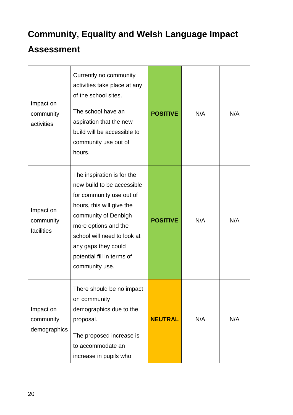| Impact on<br>community<br>activities   | Currently no community<br>activities take place at any<br>of the school sites.<br>The school have an<br>aspiration that the new<br>build will be accessible to<br>community use out of<br>hours.                                                                        | <b>POSITIVE</b> | N/A | N/A |
|----------------------------------------|-------------------------------------------------------------------------------------------------------------------------------------------------------------------------------------------------------------------------------------------------------------------------|-----------------|-----|-----|
| Impact on<br>community<br>facilities   | The inspiration is for the<br>new build to be accessible<br>for community use out of<br>hours, this will give the<br>community of Denbigh<br>more options and the<br>school will need to look at<br>any gaps they could<br>potential fill in terms of<br>community use. | <b>POSITIVE</b> | N/A | N/A |
| Impact on<br>community<br>demographics | There should be no impact<br>on community<br>demographics due to the<br>proposal.<br>The proposed increase is<br>to accommodate an<br>increase in pupils who                                                                                                            | <b>NEUTRAL</b>  | N/A | N/A |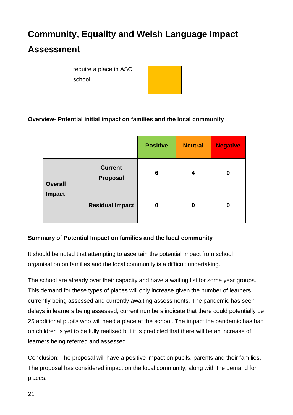### **Assessment**

| require a place in ASC |  |  |
|------------------------|--|--|
| school.                |  |  |
|                        |  |  |

#### **Overview- Potential initial impact on families and the local community**

|                                                        |                        | <b>Positive</b> | <b>Neutral</b> | <b>Negative</b> |
|--------------------------------------------------------|------------------------|-----------------|----------------|-----------------|
| <b>Current</b><br>Proposal<br><b>Overall</b><br>Impact |                        | 6               | 4              | 0               |
|                                                        | <b>Residual Impact</b> | 0               | 0              | 0               |

#### **Summary of Potential Impact on families and the local community**

It should be noted that attempting to ascertain the potential impact from school organisation on families and the local community is a difficult undertaking.

The school are already over their capacity and have a waiting list for some year groups. This demand for these types of places will only increase given the number of learners currently being assessed and currently awaiting assessments. The pandemic has seen delays in learners being assessed, current numbers indicate that there could potentially be 25 additional pupils who will need a place at the school. The impact the pandemic has had on children is yet to be fully realised but it is predicted that there will be an increase of learners being referred and assessed.

Conclusion: The proposal will have a positive impact on pupils, parents and their families. The proposal has considered impact on the local community, along with the demand for places.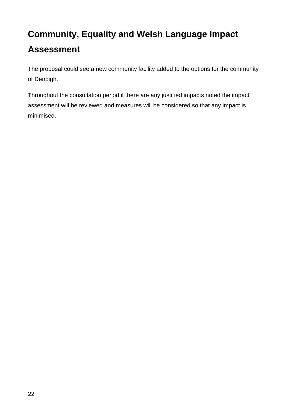The proposal could see a new community facility added to the options for the community of Denbigh.

Throughout the consultation period if there are any justified impacts noted the impact assessment will be reviewed and measures will be considered so that any impact is minimised.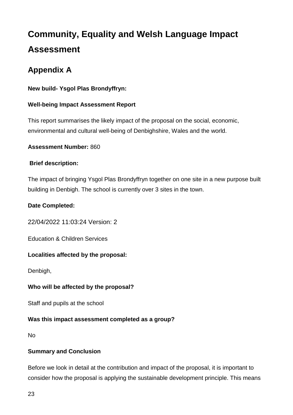### <span id="page-22-0"></span>**Appendix A**

#### **New build- Ysgol Plas Brondyffryn:**

#### **Well-being Impact Assessment Report**

This report summarises the likely impact of the proposal on the social, economic, environmental and cultural well-being of Denbighshire, Wales and the world.

#### **Assessment Number:** 860

#### **Brief description:**

The impact of bringing Ysgol Plas Brondyffryn together on one site in a new purpose built building in Denbigh. The school is currently over 3 sites in the town.

#### **Date Completed:**

22/04/2022 11:03:24 Version: 2

Education & Children Services

#### **Localities affected by the proposal:**

Denbigh,

#### **Who will be affected by the proposal?**

Staff and pupils at the school

#### **Was this impact assessment completed as a group?**

No

#### **Summary and Conclusion**

Before we look in detail at the contribution and impact of the proposal, it is important to consider how the proposal is applying the sustainable development principle. This means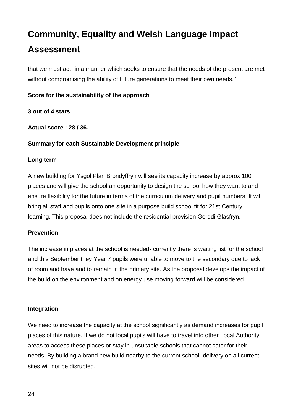that we must act "in a manner which seeks to ensure that the needs of the present are met without compromising the ability of future generations to meet their own needs."

#### **Score for the sustainability of the approach**

#### **3 out of 4 stars**

**Actual score : 28 / 36.**

#### **Summary for each Sustainable Development principle**

#### **Long term**

A new building for Ysgol Plan Brondyffryn will see its capacity increase by approx 100 places and will give the school an opportunity to design the school how they want to and ensure flexibility for the future in terms of the curriculum delivery and pupil numbers. It will bring all staff and pupils onto one site in a purpose build school fit for 21st Century learning. This proposal does not include the residential provision Gerddi Glasfryn.

#### **Prevention**

The increase in places at the school is needed- currently there is waiting list for the school and this September they Year 7 pupils were unable to move to the secondary due to lack of room and have and to remain in the primary site. As the proposal develops the impact of the build on the environment and on energy use moving forward will be considered.

#### **Integration**

We need to increase the capacity at the school significantly as demand increases for pupil places of this nature. If we do not local pupils will have to travel into other Local Authority areas to access these places or stay in unsuitable schools that cannot cater for their needs. By building a brand new build nearby to the current school- delivery on all current sites will not be disrupted.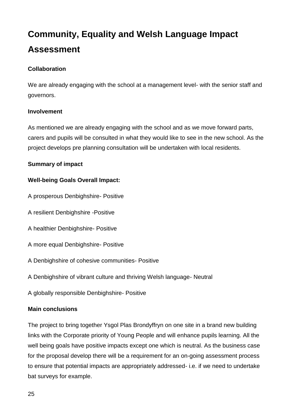#### **Collaboration**

We are already engaging with the school at a management level- with the senior staff and governors.

#### **Involvement**

As mentioned we are already engaging with the school and as we move forward parts, carers and pupils will be consulted in what they would like to see in the new school. As the project develops pre planning consultation will be undertaken with local residents.

#### **Summary of impact**

#### **Well-being Goals Overall Impact:**

- A prosperous Denbighshire- Positive
- A resilient Denbighshire -Positive
- A healthier Denbighshire- Positive
- A more equal Denbighshire- Positive
- A Denbighshire of cohesive communities- Positive
- A Denbighshire of vibrant culture and thriving Welsh language- Neutral
- A globally responsible Denbighshire- Positive

#### **Main conclusions**

The project to bring together Ysgol Plas Brondyffryn on one site in a brand new building links with the Corporate priority of Young People and will enhance pupils learning. All the well being goals have positive impacts except one which is neutral. As the business case for the proposal develop there will be a requirement for an on-going assessment process to ensure that potential impacts are appropriately addressed- i.e. if we need to undertake bat surveys for example.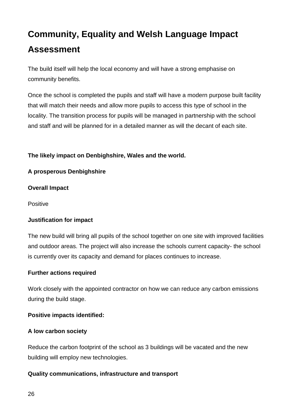The build itself will help the local economy and will have a strong emphasise on community benefits.

Once the school is completed the pupils and staff will have a modern purpose built facility that will match their needs and allow more pupils to access this type of school in the locality. The transition process for pupils will be managed in partnership with the school and staff and will be planned for in a detailed manner as will the decant of each site.

#### **The likely impact on Denbighshire, Wales and the world.**

#### **A prosperous Denbighshire**

#### **Overall Impact**

Positive

#### **Justification for impact**

The new build will bring all pupils of the school together on one site with improved facilities and outdoor areas. The project will also increase the schools current capacity- the school is currently over its capacity and demand for places continues to increase.

#### **Further actions required**

Work closely with the appointed contractor on how we can reduce any carbon emissions during the build stage.

#### **Positive impacts identified:**

#### **A low carbon society**

Reduce the carbon footprint of the school as 3 buildings will be vacated and the new building will employ new technologies.

#### **Quality communications, infrastructure and transport**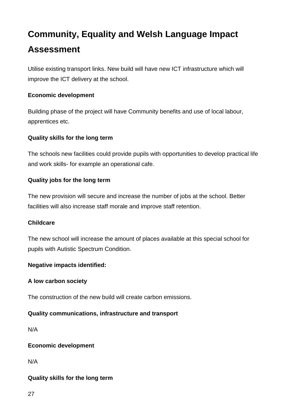Utilise existing transport links. New build will have new ICT infrastructure which will improve the ICT delivery at the school.

#### **Economic development**

Building phase of the project will have Community benefits and use of local labour, apprentices etc.

#### **Quality skills for the long term**

The schools new facilities could provide pupils with opportunities to develop practical life and work skills- for example an operational cafe.

#### **Quality jobs for the long term**

The new provision will secure and increase the number of jobs at the school. Better facilities will also increase staff morale and improve staff retention.

#### **Childcare**

The new school will increase the amount of places available at this special school for pupils with Autistic Spectrum Condition.

#### **Negative impacts identified:**

#### **A low carbon society**

The construction of the new build will create carbon emissions.

#### **Quality communications, infrastructure and transport**

N/A

#### **Economic development**

N/A

#### **Quality skills for the long term**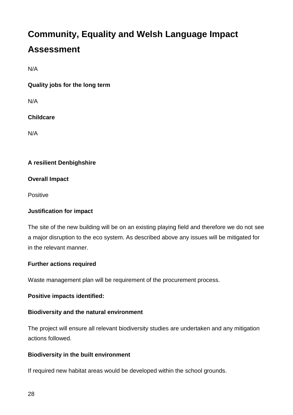N/A

**Quality jobs for the long term**

N/A

#### **Childcare**

N/A

#### **A resilient Denbighshire**

#### **Overall Impact**

Positive

#### **Justification for impact**

The site of the new building will be on an existing playing field and therefore we do not see a major disruption to the eco system. As described above any issues will be mitigated for in the relevant manner.

#### **Further actions required**

Waste management plan will be requirement of the procurement process.

#### **Positive impacts identified:**

#### **Biodiversity and the natural environment**

The project will ensure all relevant biodiversity studies are undertaken and any mitigation actions followed.

#### **Biodiversity in the built environment**

If required new habitat areas would be developed within the school grounds.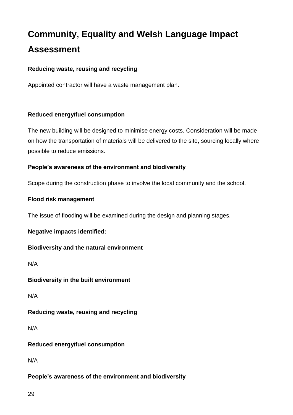#### **Reducing waste, reusing and recycling**

Appointed contractor will have a waste management plan.

#### **Reduced energy/fuel consumption**

The new building will be designed to minimise energy costs. Consideration will be made on how the transportation of materials will be delivered to the site, sourcing locally where possible to reduce emissions.

#### **People's awareness of the environment and biodiversity**

Scope during the construction phase to involve the local community and the school.

#### **Flood risk management**

The issue of flooding will be examined during the design and planning stages.

#### **Negative impacts identified:**

#### **Biodiversity and the natural environment**

N/A

#### **Biodiversity in the built environment**

N/A

#### **Reducing waste, reusing and recycling**

N/A

#### **Reduced energy/fuel consumption**

N/A

#### **People's awareness of the environment and biodiversity**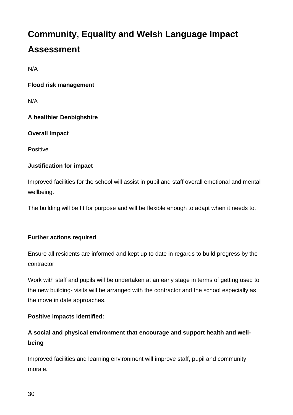N/A

**Flood risk management**

N/A

#### **A healthier Denbighshire**

#### **Overall Impact**

Positive

#### **Justification for impact**

Improved facilities for the school will assist in pupil and staff overall emotional and mental wellbeing.

The building will be fit for purpose and will be flexible enough to adapt when it needs to.

#### **Further actions required**

Ensure all residents are informed and kept up to date in regards to build progress by the contractor.

Work with staff and pupils will be undertaken at an early stage in terms of getting used to the new building- visits will be arranged with the contractor and the school especially as the move in date approaches.

#### **Positive impacts identified:**

### **A social and physical environment that encourage and support health and wellbeing**

Improved facilities and learning environment will improve staff, pupil and community morale.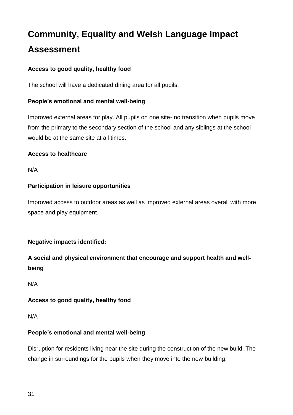#### **Access to good quality, healthy food**

The school will have a dedicated dining area for all pupils.

#### **People's emotional and mental well-being**

Improved external areas for play. All pupils on one site- no transition when pupils move from the primary to the secondary section of the school and any siblings at the school would be at the same site at all times.

#### **Access to healthcare**

N/A

#### **Participation in leisure opportunities**

Improved access to outdoor areas as well as improved external areas overall with more space and play equipment.

#### **Negative impacts identified:**

**A social and physical environment that encourage and support health and wellbeing**

N/A

#### **Access to good quality, healthy food**

N/A

#### **People's emotional and mental well-being**

Disruption for residents living near the site during the construction of the new build. The change in surroundings for the pupils when they move into the new building.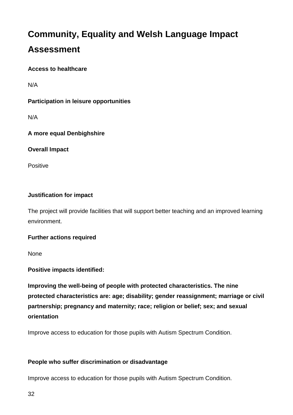#### **Access to healthcare**

N/A

#### **Participation in leisure opportunities**

N/A

#### **A more equal Denbighshire**

**Overall Impact**

Positive

#### **Justification for impact**

The project will provide facilities that will support better teaching and an improved learning environment.

#### **Further actions required**

None

**Positive impacts identified:**

**Improving the well-being of people with protected characteristics. The nine protected characteristics are: age; disability; gender reassignment; marriage or civil partnership; pregnancy and maternity; race; religion or belief; sex; and sexual orientation**

Improve access to education for those pupils with Autism Spectrum Condition.

#### **People who suffer discrimination or disadvantage**

Improve access to education for those pupils with Autism Spectrum Condition.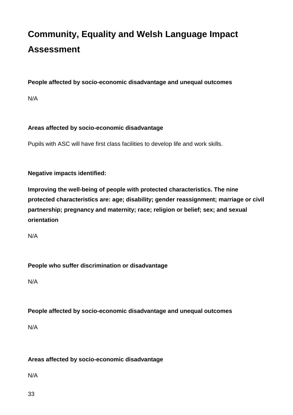#### **People affected by socio-economic disadvantage and unequal outcomes**

N/A

#### **Areas affected by socio-economic disadvantage**

Pupils with ASC will have first class facilities to develop life and work skills.

**Negative impacts identified:**

**Improving the well-being of people with protected characteristics. The nine protected characteristics are: age; disability; gender reassignment; marriage or civil partnership; pregnancy and maternity; race; religion or belief; sex; and sexual orientation**

N/A

#### **People who suffer discrimination or disadvantage**

N/A

#### **People affected by socio-economic disadvantage and unequal outcomes**

N/A

#### **Areas affected by socio-economic disadvantage**

N/A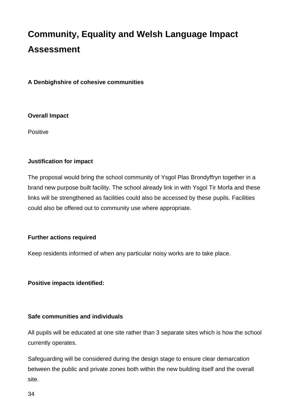**A Denbighshire of cohesive communities**

#### **Overall Impact**

**Positive** 

#### **Justification for impact**

The proposal would bring the school community of Ysgol Plas Brondyffryn together in a brand new purpose built facility. The school already link in with Ysgol Tir Morfa and these links will be strengthened as facilities could also be accessed by these pupils. Facilities could also be offered out to community use where appropriate.

#### **Further actions required**

Keep residents informed of when any particular noisy works are to take place.

#### **Positive impacts identified:**

#### **Safe communities and individuals**

All pupils will be educated at one site rather than 3 separate sites which is how the school currently operates.

Safeguarding will be considered during the design stage to ensure clear demarcation between the public and private zones both within the new building itself and the overall site.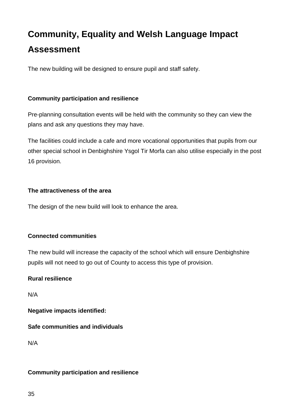The new building will be designed to ensure pupil and staff safety.

#### **Community participation and resilience**

Pre-planning consultation events will be held with the community so they can view the plans and ask any questions they may have.

The facilities could include a cafe and more vocational opportunities that pupils from our other special school in Denbighshire Ysgol Tir Morfa can also utilise especially in the post 16 provision.

#### **The attractiveness of the area**

The design of the new build will look to enhance the area.

#### **Connected communities**

The new build will increase the capacity of the school which will ensure Denbighshire pupils will not need to go out of County to access this type of provision.

#### **Rural resilience**

N/A

**Negative impacts identified:**

#### **Safe communities and individuals**

N/A

#### **Community participation and resilience**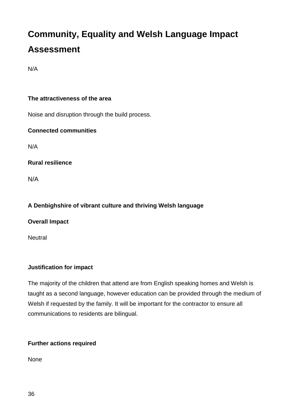N/A

#### **The attractiveness of the area**

Noise and disruption through the build process.

#### **Connected communities**

N/A

**Rural resilience**

N/A

#### **A Denbighshire of vibrant culture and thriving Welsh language**

**Overall Impact**

**Neutral** 

#### **Justification for impact**

The majority of the children that attend are from English speaking homes and Welsh is taught as a second language, however education can be provided through the medium of Welsh if requested by the family. It will be important for the contractor to ensure all communications to residents are bilingual.

#### **Further actions required**

None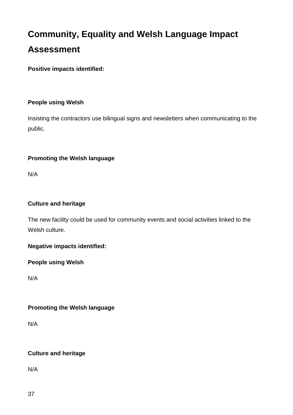**Positive impacts identified:**

#### **People using Welsh**

Insisting the contractors use bilingual signs and newsletters when communicating to the public.

#### **Promoting the Welsh language**

N/A

#### **Culture and heritage**

The new facility could be used for community events and social activities linked to the Welsh culture.

**Negative impacts identified:**

**People using Welsh**

N/A

#### **Promoting the Welsh language**

N/A

#### **Culture and heritage**

N/A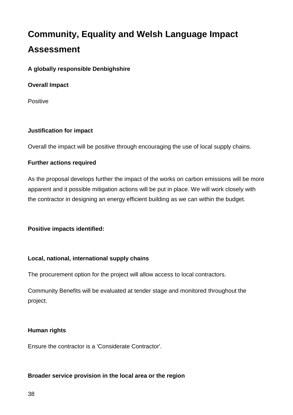#### **A globally responsible Denbighshire**

#### **Overall Impact**

Positive

#### **Justification for impact**

Overall the impact will be positive through encouraging the use of local supply chains.

#### **Further actions required**

As the proposal develops further the impact of the works on carbon emissions will be more apparent and it possible mitigation actions will be put in place. We will work closely with the contractor in designing an energy efficient building as we can within the budget.

#### **Positive impacts identified:**

#### **Local, national, international supply chains**

The procurement option for the project will allow access to local contractors.

Community Benefits will be evaluated at tender stage and monitored throughout the project.

#### **Human rights**

Ensure the contractor is a 'Considerate Contractor'.

#### **Broader service provision in the local area or the region**